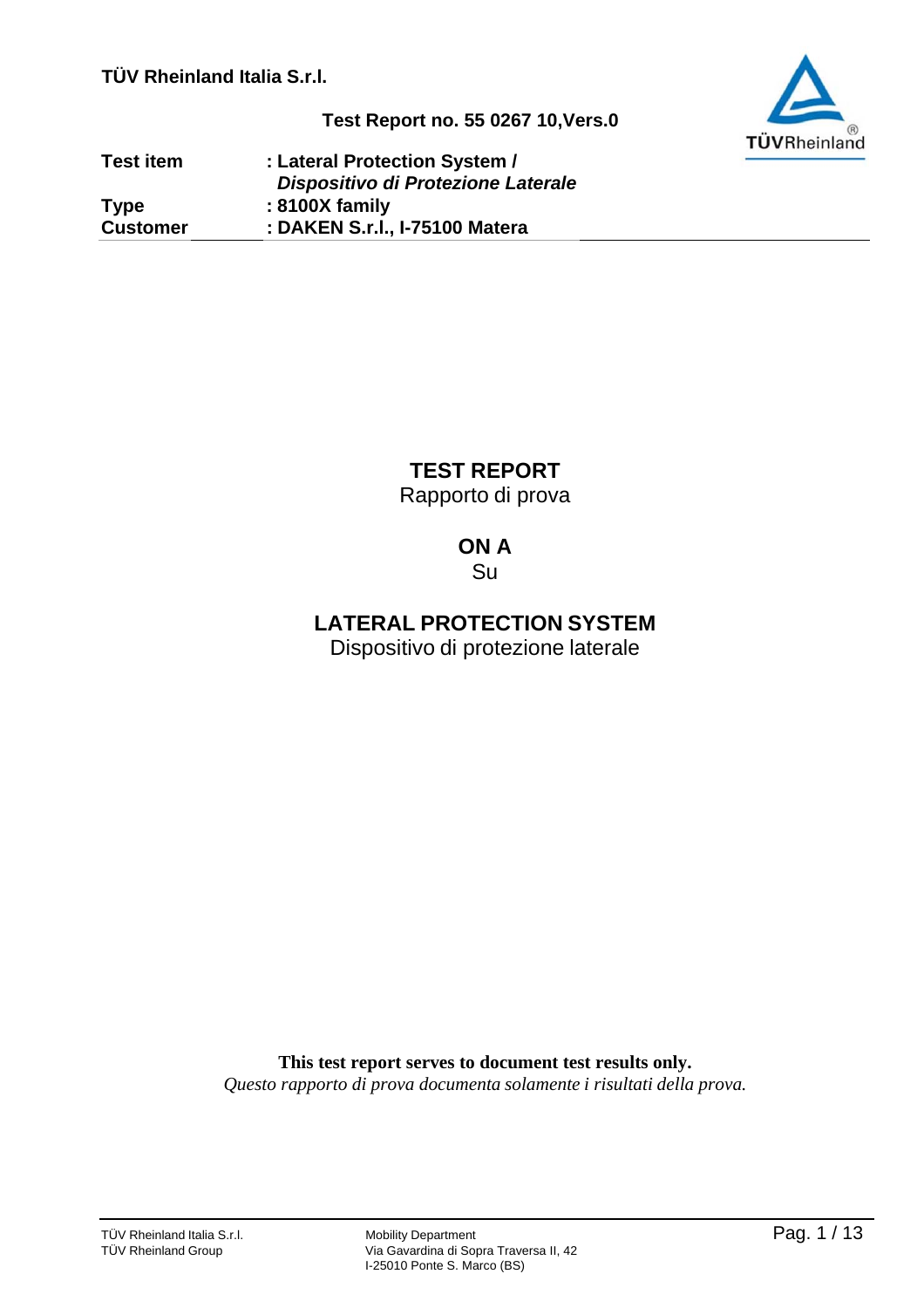**TÜV Rheinland Italia S.r.l.**



**Test Report no. 55 0267 10,Vers.0**

| <b>Test item</b> | : Lateral Protection System /      |
|------------------|------------------------------------|
|                  | Dispositivo di Protezione Laterale |
| <b>Type</b>      | : 8100X family                     |
| <b>Customer</b>  | : DAKEN S.r.I., I-75100 Matera     |

**TEST REPORT** Rapporto di prova

# **ON A**

Su

**LATERAL PROTECTION SYSTEM**

Dispositivo di protezione laterale

**This test report serves to document test results only.** *Questo rapporto di prova documenta solamente i risultati della prova.*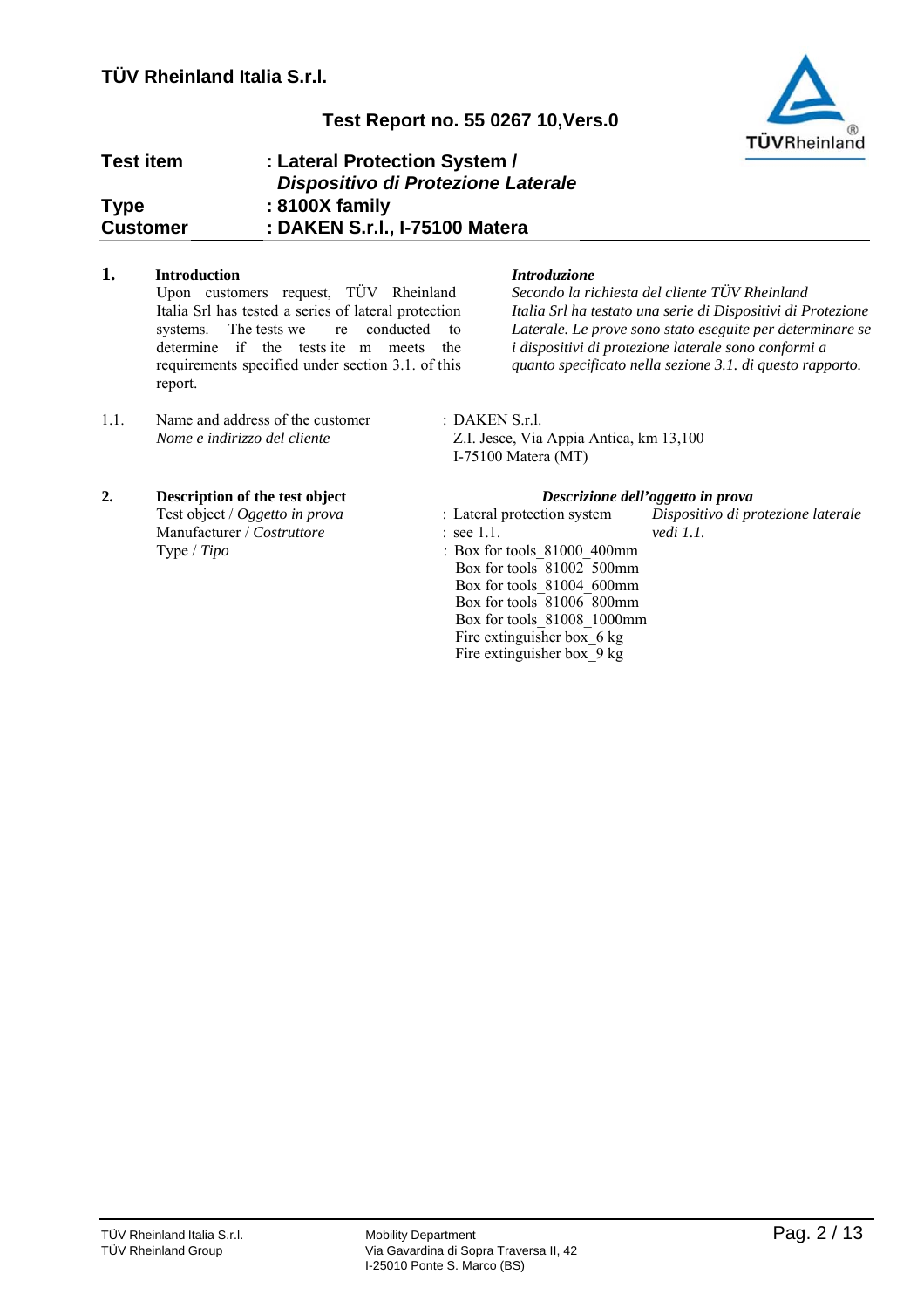

| <b>Test item</b> | : Lateral Protection System /<br>Dispositivo di Protezione Laterale |
|------------------|---------------------------------------------------------------------|
| <b>Type</b>      | : 8100X family                                                      |
| <b>Customer</b>  | : DAKEN S.r.l., I-75100 Matera                                      |

# **1. Introduction** *Introduzione*

Upon customers request, TÜV Rheinland Italia Srl has tested a series of lateral protection systems. The tests we re conducted to determine if the tests ite m meets the requirements specified under section 3.1. of this report.

1.1. Name and address of the customer : DAKEN S.r.l.

# **2. Description of the test object** *Descrizione dell'oggetto in prova* Test object / *Oggetto in prova* : Lateral protection system *Dispositivo di protezione laterale*

Manufacturer / *Costruttore* : see 1.1. *vedi 1.1.*

*Secondo la richiesta del cliente TÜV Rheinland Italia Srl ha testato una serie di Dispositivi di Protezione Laterale. Le prove sono stato eseguite per determinare se i dispositivi di protezione laterale sono conformi a quanto specificato nella sezione 3.1. di questo rapporto.*

*Nome e indirizzo del cliente* Z.I. Jesce, Via Appia Antica, km 13,100 I-75100 Matera (MT)

- 
- Type / *Tipo* : Box for tools 81000 400mm Box for tools\_81002\_500mm Box for tools\_81004\_600mm Box for tools\_81006\_800mm Box for tools\_81008\_1000mm Fire extinguisher box  $6 \text{ kg}$ Fire extinguisher box\_9 kg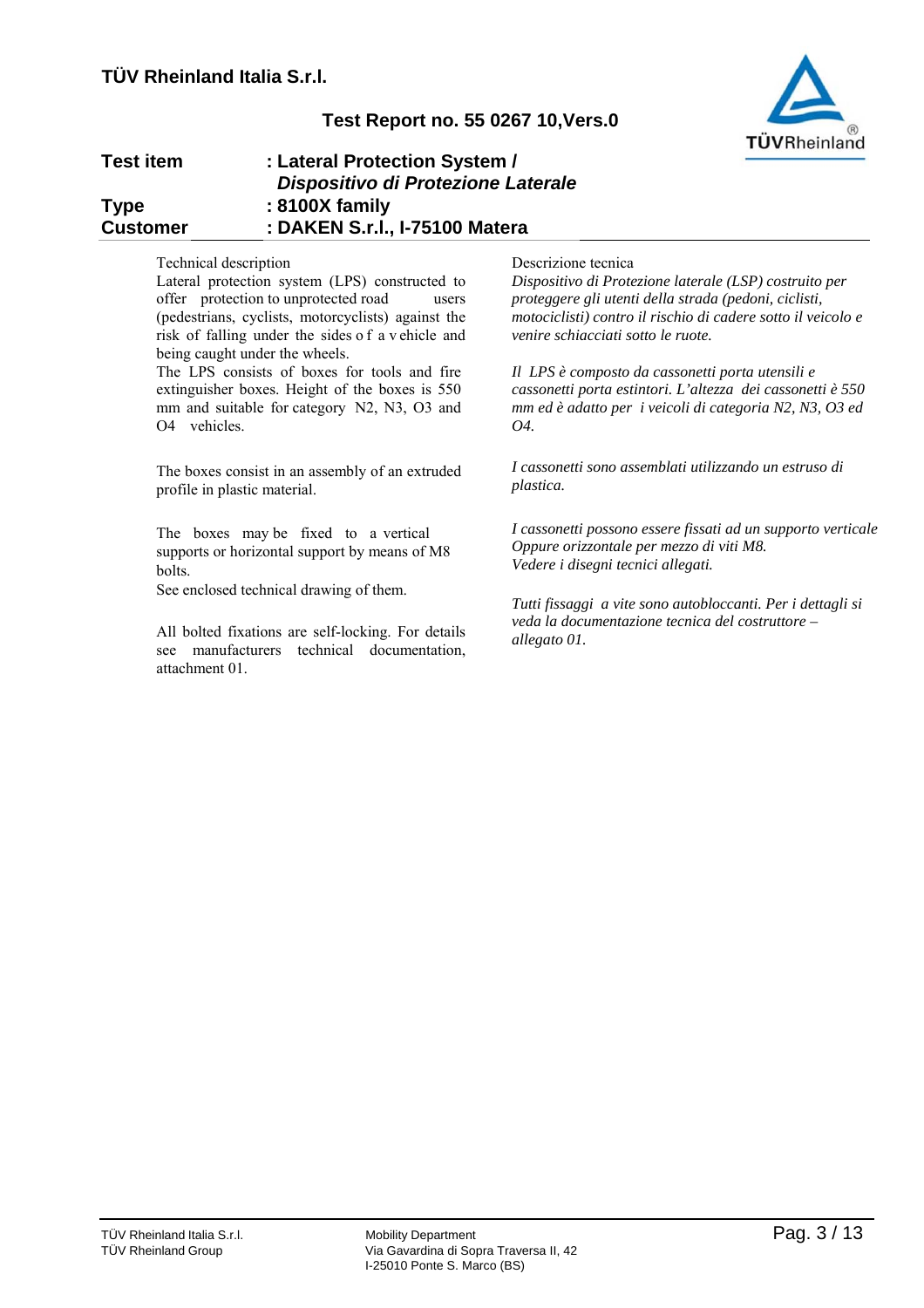

| <b>Test item</b> | : Lateral Protection System /      |
|------------------|------------------------------------|
|                  | Dispositivo di Protezione Laterale |
| <b>Type</b>      | : 8100X family                     |
| <b>Customer</b>  | : DAKEN S.r.I., I-75100 Matera     |

### Technical description

Lateral protection system (LPS) constructed to offer protection to unprotected road users (pedestrians, cyclists, motorcyclists) against the risk of falling under the sides o f a v ehicle and being caught under the wheels.

The LPS consists of boxes for tools and fire extinguisher boxes. Height of the boxes is 550 mm and suitable for category N2, N3, O3 and O4 vehicles.

The boxes consist in an assembly of an extruded profile in plastic material.

The boxes may be fixed to a vertical supports or horizontal support by means of M8 bolts.

See enclosed technical drawing of them.

All bolted fixations are self-locking. For details see manufacturers technical documentation, attachment 01.

### Descrizione tecnica

*Dispositivo di Protezione laterale (LSP) costruito per proteggere gli utenti della strada (pedoni, ciclisti, motociclisti) contro il rischio di cadere sotto il veicolo e venire schiacciati sotto le ruote.*

*Il LPS è composto da cassonetti porta utensili e cassonetti porta estintori. L'altezza dei cassonetti è 550 mm ed è adatto per i veicoli di categoria N2, N3, O3 ed O4.*

*I cassonetti sono assemblati utilizzando un estruso di plastica.*

*I cassonetti possono essere fissati ad un supporto verticale Oppure orizzontale per mezzo di viti M8. Vedere i disegni tecnici allegati.* 

*Tutti fissaggi a vite sono autobloccanti. Per i dettagli si veda la documentazione tecnica del costruttore – allegato 01.*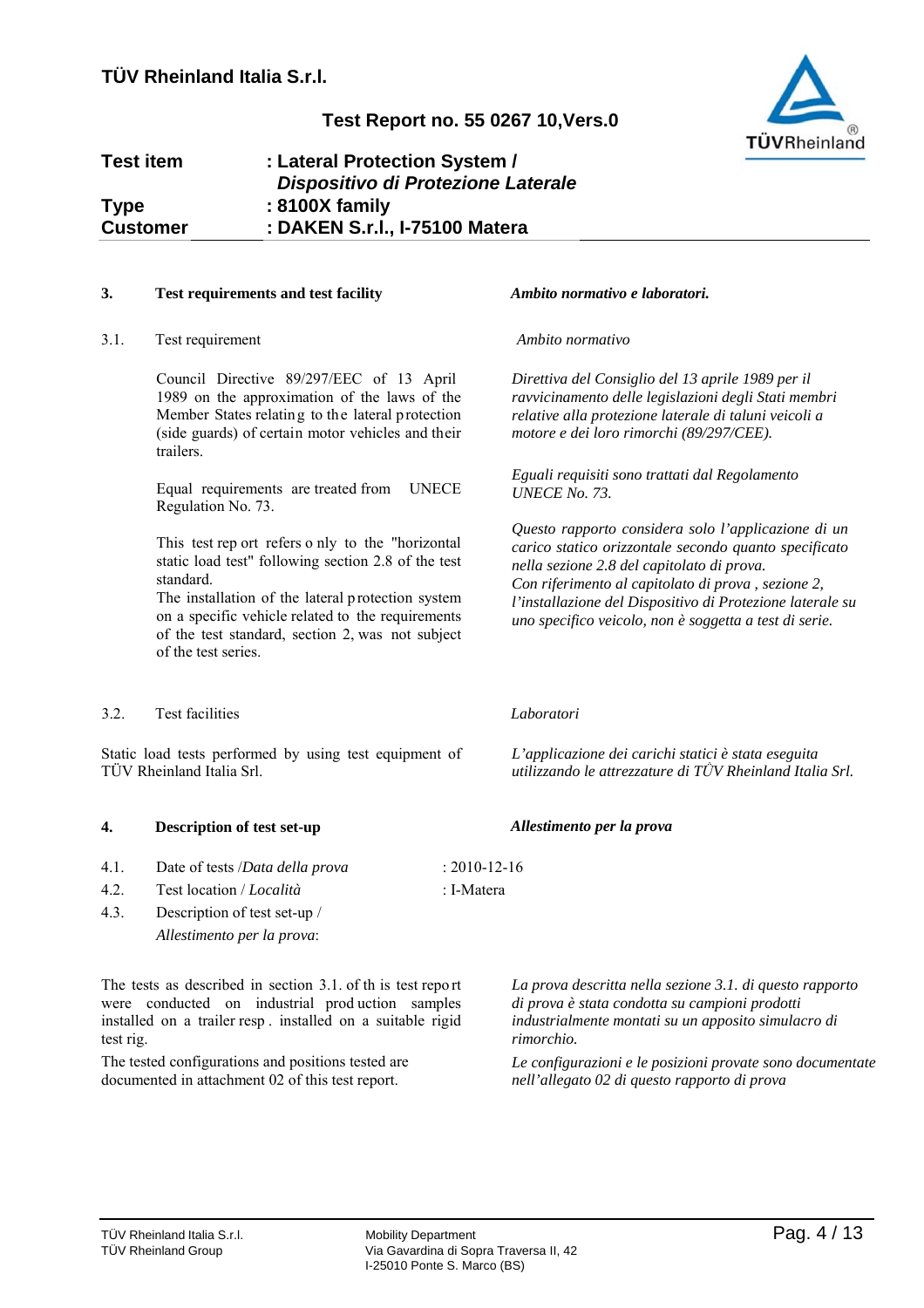# TÜVRheinland

# **Test Report no. 55 0267 10,Vers.0**

### **Test item : Lateral Protection System /** *Dispositivo di Protezione Laterale* **: 8100X family : DAKEN S.r.l., I-75100 Matera Type Customer**

# **3. Test requirements and test facility** *Ambito normativo e laboratori.*

3.1. Test requirement *Ambito normativo*

Council Directive 89/297/EEC of 13 April 1989 on the approximation of the laws of the Member States relating to the lateral protection (side guards) of certain motor vehicles and their trailers.

Equal requirements are treated from UNECE Regulation No. 73.

This test rep ort refers o nly to the "horizontal static load test" following section 2.8 of the test standard.

The installation of the lateral protection system on a specific vehicle related to the requirements of the test standard, section 2, was not subject of the test series.

### 3.2. Test facilities *Laboratori*

Static load tests performed by using test equipment of TÜV Rheinland Italia Srl.

# **4. Description of test set-up** *Allestimento per la prova*

- 4.1. Date of tests /*Data della prova* : 2010-12-16
- 4.2. Test location / *Località* : I-Matera
- 4.3. Description of test set-up / *Allestimento per la prova*:

The tests as described in section 3.1. of th is test repo rt were conducted on industrial prod uction samples installed on a trailer resp . installed on a suitable rigid test rig.

The tested configurations and positions tested are documented in attachment 02 of this test report.

*Direttiva del Consiglio del 13 aprile 1989 per il ravvicinamento delle legislazioni degli Stati membri relative alla protezione laterale di taluni veicoli a motore e dei loro rimorchi (89/297/CEE).* 

*Eguali requisiti sono trattati dal Regolamento UNECE No. 73.*

*Questo rapporto considera solo l'applicazione di un carico statico orizzontale secondo quanto specificato nella sezione 2.8 del capitolato di prova. Con riferimento al capitolato di prova , sezione 2, l'installazione del Dispositivo di Protezione laterale su uno specifico veicolo, non è soggetta a test di serie.*

*L'applicazione dei carichi statici è stata eseguita utilizzando le attrezzature di TǛV Rheinland Italia Srl.*

*La prova descritta nella sezione 3.1. di questo rapporto di prova è stata condotta su campioni prodotti industrialmente montati su un apposito simulacro di rimorchio.*

*Le configurazioni e le posizioni provate sono documentate nell'allegato 02 di questo rapporto di prova*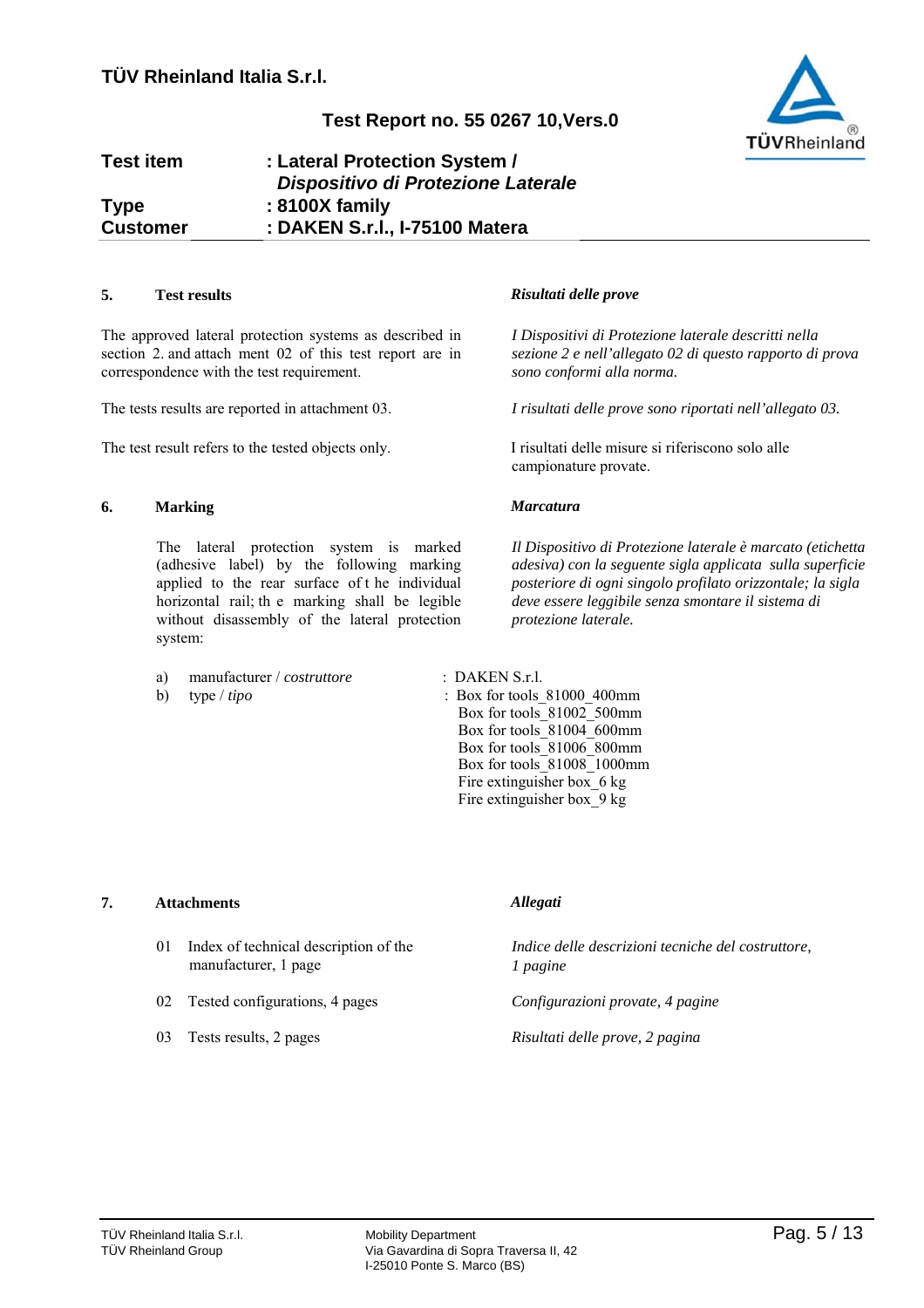

### **Test item : Lateral Protection System /** *Dispositivo di Protezione Laterale* **: 8100X family : DAKEN S.r.l., I-75100 Matera Type Customer**

### **5. Test results** *Risultati delle prove*

The approved lateral protection systems as described in section 2. and attach ment 02 of this test report are in correspondence with the test requirement.

The tests results are reported in attachment 03.

The test result refers to the tested objects only. I risultati delle misure si riferiscono solo alle

# **6. Marking** *Marcatura*

The lateral protection system is marked (adhesive label) by the following marking applied to the rear surface of t he individual horizontal rail; th e marking shall be legible without disassembly of the lateral protection system:

- a) manufacturer / *costruttore* : DAKEN S.r.l.
- 

*I Dispositivi di Protezione laterale descritti nella sezione 2 e nell'allegato 02 di questo rapporto di prova sono conformi alla norma.*

*I risultati delle prove sono riportati nell'allegato 03.*

campionature provate.

*Il Dispositivo di Protezione laterale è marcato (etichetta adesiva) con la seguente sigla applicata sulla superficie posteriore di ogni singolo profilato orizzontale; la sigla deve essere leggibile senza smontare il sistema di protezione laterale.*

b) type / *tipo* : Box for tools 81000 400mm Box for tools\_81002\_500mm Box for tools\_81004\_600mm Box for tools\_81006\_800mm Box for tools\_81008\_1000mm Fire extinguisher box 6 kg Fire extinguisher box\_9 kg

### **7. Attachments** *Allegati*

- 01 Index of technical description of the manufacturer, 1 page
- 02 Tested configurations, 4 pages
- 03 Tests results, 2 pages

*Indice delle descrizioni tecniche del costruttore, 1 pagine*

*Configurazioni provate, 4 pagine*

*Risultati delle prove, 2 pagina*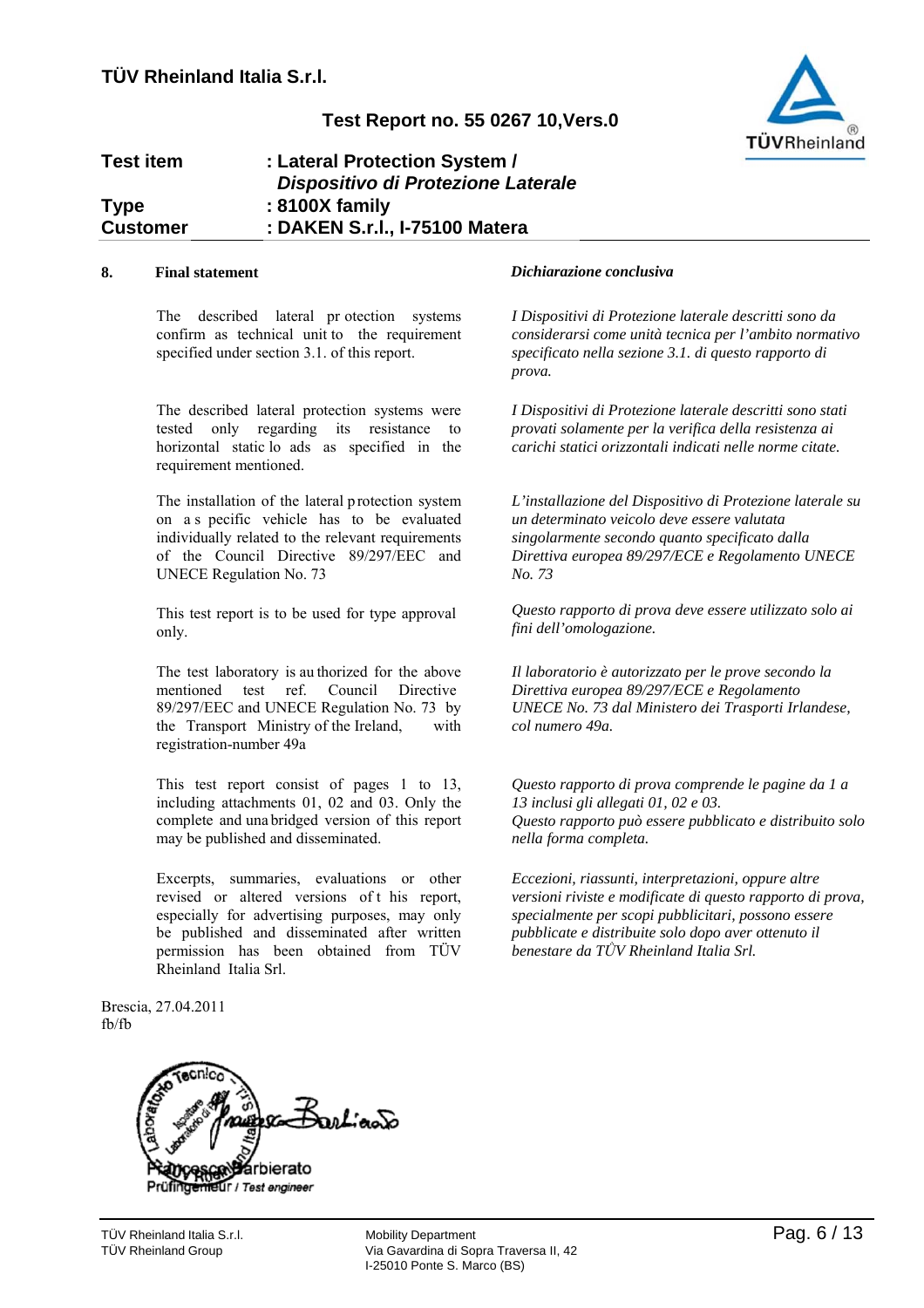

### **Test item : Lateral Protection System /** *Dispositivo di Protezione Laterale* **: 8100X family : DAKEN S.r.l., I-75100 Matera Type Customer**

The described lateral pr otection systems confirm as technical unit to the requirement specified under section 3.1. of this report.

The described lateral protection systems were tested only regarding its resistance to horizontal static lo ads as specified in the requirement mentioned.

The installation of the lateral protection system on a s pecific vehicle has to be evaluated individually related to the relevant requirements of the Council Directive 89/297/EEC and UNECE Regulation No. 73

This test report is to be used for type approval only.

The test laboratory is au thorized for the above mentioned test ref. Council Directive 89/297/EEC and UNECE Regulation No. 73 by the Transport Ministry of the Ireland, with registration-number 49a

This test report consist of pages 1 to 13, including attachments 01, 02 and 03. Only the complete and una bridged version of this report may be published and disseminated.

Excerpts, summaries, evaluations or other revised or altered versions of t his report, especially for advertising purposes, may only be published and disseminated after written permission has been obtained from TÜV Rheinland Italia Srl.

### **8. Final statement** *Dichiarazione conclusiva*

*I Dispositivi di Protezione laterale descritti sono da considerarsi come unità tecnica per l'ambito normativo specificato nella sezione 3.1. di questo rapporto di prova.*

*I Dispositivi di Protezione laterale descritti sono stati provati solamente per la verifica della resistenza ai carichi statici orizzontali indicati nelle norme citate.*

*L'installazione del Dispositivo di Protezione laterale su un determinato veicolo deve essere valutata singolarmente secondo quanto specificato dalla Direttiva europea 89/297/ECE e Regolamento UNECE No. 73*

*Questo rapporto di prova deve essere utilizzato solo ai fini dell'omologazione.*

*Il laboratorio è autorizzato per le prove secondo la Direttiva europea 89/297/ECE e Regolamento UNECE No. 73 dal Ministero dei Trasporti Irlandese, col numero 49a.*

*Questo rapporto di prova comprende le pagine da 1 a 13 inclusi gli allegati 01, 02 e 03. Questo rapporto può essere pubblicato e distribuito solo nella forma completa.*

*Eccezioni, riassunti, interpretazioni, oppure altre versioni riviste e modificate di questo rapporto di prova, specialmente per scopi pubblicitari, possono essere pubblicate e distribuite solo dopo aver ottenuto il benestare da TǛV Rheinland Italia Srl.*

Brescia, 27.04.2011 fb/fb



**Ur** / Test engineer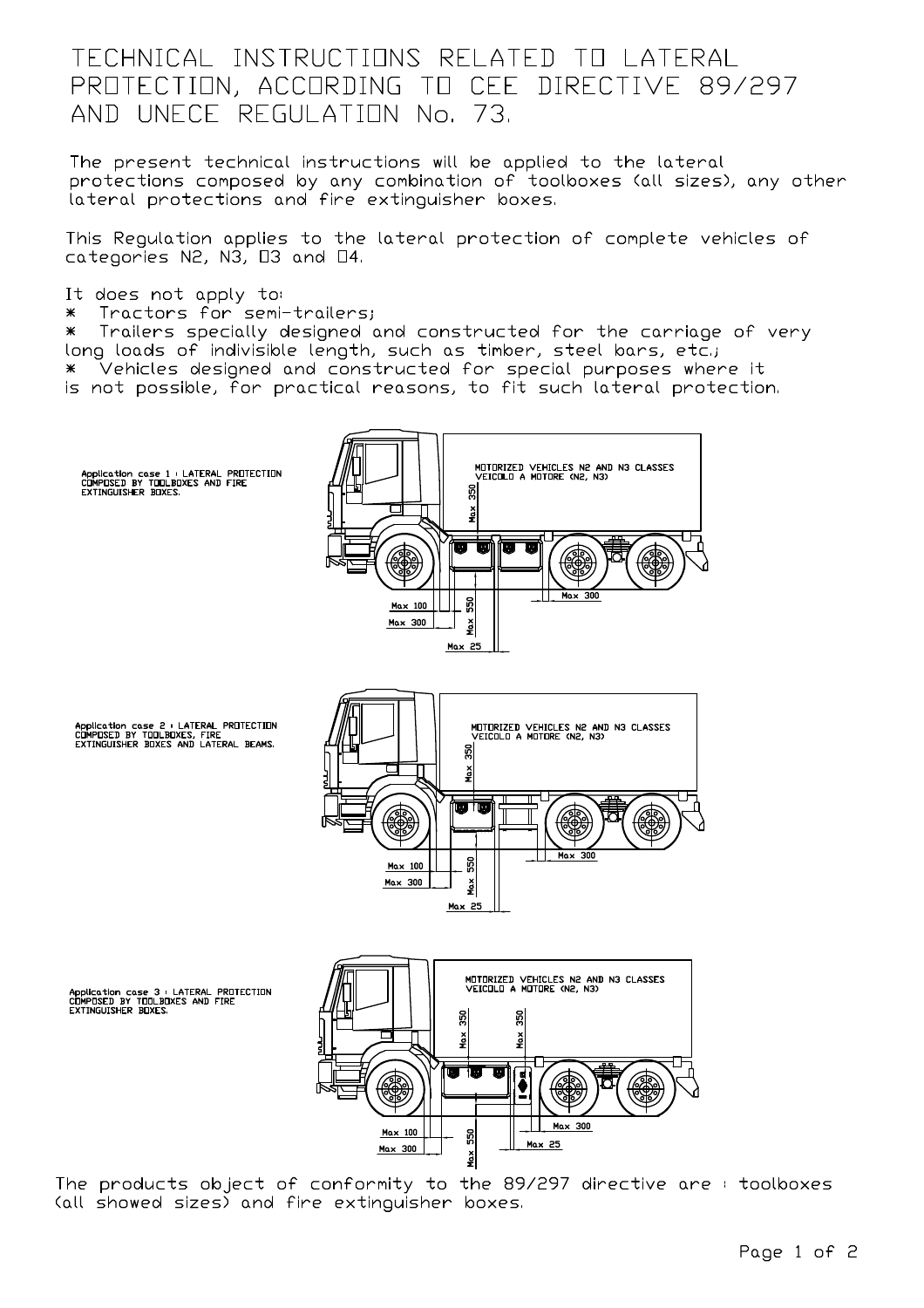# TECHNICAL INSTRUCTIONS RELATED TO LATERAL PROTECTION, ACCORDING TO CEE DIRECTIVE 89/297 AND UNECE REGULATION No. 73.

The present technical instructions will be applied to the lateral protections composed by any combination of toolboxes (all sizes), any other lateral protections and fire extinguisher boxes.

This Regulation applies to the lateral protection of complete vehicles of categories N2, N3, 03 and 04.

It does not apply to:

Tractors for semi-trailers;  $*$ 

 $\ast$ Trailers specially designed and constructed for the carriage of very long loads of indivisible length, such as timber, steel bars, etc.; \* Vehicles designed and constructed for special purposes where it is not possible, for practical reasons, to fit such lateral protection.



The products object of conformity to the 89/297 directive are: toolboxes (all showed sizes) and fire extinguisher boxes.